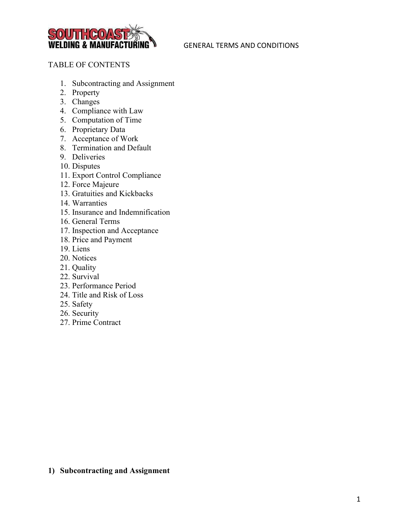

## TABLE OF CONTENTS

- 1. Subcontracting and Assignment
- 2. Property
- 3. Changes
- 4. Compliance with Law
- 5. Computation of Time
- 6. Proprietary Data
- 7. Acceptance of Work
- 8. Termination and Default
- 9. Deliveries
- 10. Disputes
- 11. Export Control Compliance
- 12. Force Majeure
- 13. Gratuities and Kickbacks
- 14. Warranties
- 15. Insurance and Indemnification
- 16. General Terms
- 17. Inspection and Acceptance
- 18. Price and Payment
- 19. Liens
- 20. Notices
- 21. Quality
- 22. Survival
- 23. Performance Period
- 24. Title and Risk of Loss
- 25. Safety
- 26. Security
- 27. Prime Contract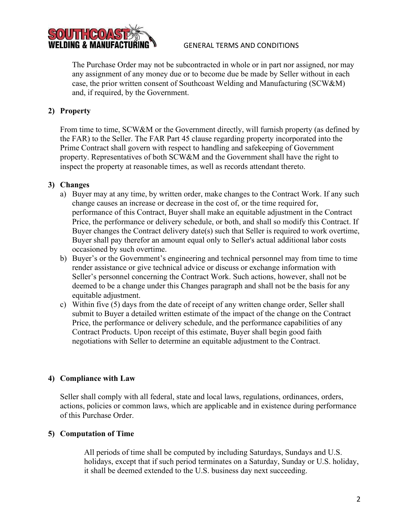

The Purchase Order may not be subcontracted in whole or in part nor assigned, nor may any assignment of any money due or to become due be made by Seller without in each case, the prior written consent of Southcoast Welding and Manufacturing (SCW&M) and, if required, by the Government.

## **2) Property**

From time to time, SCW&M or the Government directly, will furnish property (as defined by the FAR) to the Seller. The FAR Part 45 clause regarding property incorporated into the Prime Contract shall govern with respect to handling and safekeeping of Government property. Representatives of both SCW&M and the Government shall have the right to inspect the property at reasonable times, as well as records attendant thereto.

## **3) Changes**

- a) Buyer may at any time, by written order, make changes to the Contract Work. If any such change causes an increase or decrease in the cost of, or the time required for, performance of this Contract, Buyer shall make an equitable adjustment in the Contract Price, the performance or delivery schedule, or both, and shall so modify this Contract. If Buyer changes the Contract delivery date(s) such that Seller is required to work overtime, Buyer shall pay therefor an amount equal only to Seller's actual additional labor costs occasioned by such overtime.
- b) Buyer's or the Government's engineering and technical personnel may from time to time render assistance or give technical advice or discuss or exchange information with Seller's personnel concerning the Contract Work. Such actions, however, shall not be deemed to be a change under this Changes paragraph and shall not be the basis for any equitable adjustment.
- c) Within five (5) days from the date of receipt of any written change order, Seller shall submit to Buyer a detailed written estimate of the impact of the change on the Contract Price, the performance or delivery schedule, and the performance capabilities of any Contract Products. Upon receipt of this estimate, Buyer shall begin good faith negotiations with Seller to determine an equitable adjustment to the Contract.

## **4) Compliance with Law**

Seller shall comply with all federal, state and local laws, regulations, ordinances, orders, actions, policies or common laws, which are applicable and in existence during performance of this Purchase Order.

## **5) Computation of Time**

All periods of time shall be computed by including Saturdays, Sundays and U.S. holidays, except that if such period terminates on a Saturday, Sunday or U.S. holiday, it shall be deemed extended to the U.S. business day next succeeding.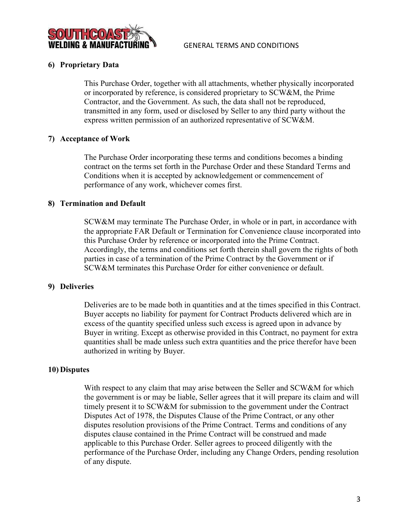

#### **6) Proprietary Data**

This Purchase Order, together with all attachments, whether physically incorporated or incorporated by reference, is considered proprietary to SCW&M, the Prime Contractor, and the Government. As such, the data shall not be reproduced, transmitted in any form, used or disclosed by Seller to any third party without the express written permission of an authorized representative of SCW&M.

#### **7) Acceptance of Work**

The Purchase Order incorporating these terms and conditions becomes a binding contract on the terms set forth in the Purchase Order and these Standard Terms and Conditions when it is accepted by acknowledgement or commencement of performance of any work, whichever comes first.

#### **8) Termination and Default**

SCW&M may terminate The Purchase Order, in whole or in part, in accordance with the appropriate FAR Default or Termination for Convenience clause incorporated into this Purchase Order by reference or incorporated into the Prime Contract. Accordingly, the terms and conditions set forth therein shall govern the rights of both parties in case of a termination of the Prime Contract by the Government or if SCW&M terminates this Purchase Order for either convenience or default.

#### **9) Deliveries**

Deliveries are to be made both in quantities and at the times specified in this Contract. Buyer accepts no liability for payment for Contract Products delivered which are in excess of the quantity specified unless such excess is agreed upon in advance by Buyer in writing. Except as otherwise provided in this Contract, no payment for extra quantities shall be made unless such extra quantities and the price therefor have been authorized in writing by Buyer.

#### **10) Disputes**

With respect to any claim that may arise between the Seller and SCW&M for which the government is or may be liable, Seller agrees that it will prepare its claim and will timely present it to SCW&M for submission to the government under the Contract Disputes Act of 1978, the Disputes Clause of the Prime Contract, or any other disputes resolution provisions of the Prime Contract. Terms and conditions of any disputes clause contained in the Prime Contract will be construed and made applicable to this Purchase Order. Seller agrees to proceed diligently with the performance of the Purchase Order, including any Change Orders, pending resolution of any dispute.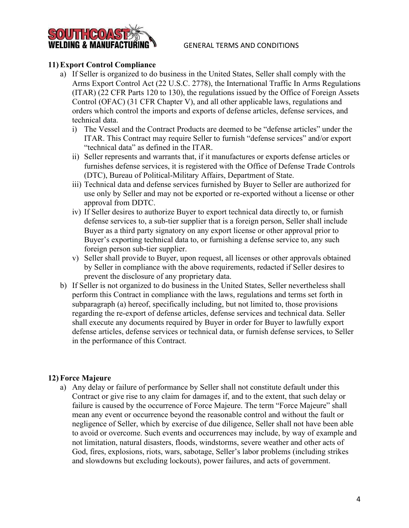

## **11) Export Control Compliance**

- a) If Seller is organized to do business in the United States, Seller shall comply with the Arms Export Control Act (22 U.S.C. 2778), the International Traffic In Arms Regulations (ITAR) (22 CFR Parts 120 to 130), the regulations issued by the Office of Foreign Assets Control (OFAC) (31 CFR Chapter V), and all other applicable laws, regulations and orders which control the imports and exports of defense articles, defense services, and technical data.
	- i) The Vessel and the Contract Products are deemed to be "defense articles" under the ITAR. This Contract may require Seller to furnish "defense services" and/or export "technical data" as defined in the ITAR.
	- ii) Seller represents and warrants that, if it manufactures or exports defense articles or furnishes defense services, it is registered with the Office of Defense Trade Controls (DTC), Bureau of Political-Military Affairs, Department of State.
	- iii) Technical data and defense services furnished by Buyer to Seller are authorized for use only by Seller and may not be exported or re-exported without a license or other approval from DDTC.
	- iv) If Seller desires to authorize Buyer to export technical data directly to, or furnish defense services to, a sub-tier supplier that is a foreign person, Seller shall include Buyer as a third party signatory on any export license or other approval prior to Buyer's exporting technical data to, or furnishing a defense service to, any such foreign person sub-tier supplier.
	- v) Seller shall provide to Buyer, upon request, all licenses or other approvals obtained by Seller in compliance with the above requirements, redacted if Seller desires to prevent the disclosure of any proprietary data.
- b) If Seller is not organized to do business in the United States, Seller nevertheless shall perform this Contract in compliance with the laws, regulations and terms set forth in subparagraph (a) hereof, specifically including, but not limited to, those provisions regarding the re-export of defense articles, defense services and technical data. Seller shall execute any documents required by Buyer in order for Buyer to lawfully export defense articles, defense services or technical data, or furnish defense services, to Seller in the performance of this Contract.

## **12) Force Majeure**

a) Any delay or failure of performance by Seller shall not constitute default under this Contract or give rise to any claim for damages if, and to the extent, that such delay or failure is caused by the occurrence of Force Majeure. The term "Force Majeure" shall mean any event or occurrence beyond the reasonable control and without the fault or negligence of Seller, which by exercise of due diligence, Seller shall not have been able to avoid or overcome. Such events and occurrences may include, by way of example and not limitation, natural disasters, floods, windstorms, severe weather and other acts of God, fires, explosions, riots, wars, sabotage, Seller's labor problems (including strikes and slowdowns but excluding lockouts), power failures, and acts of government.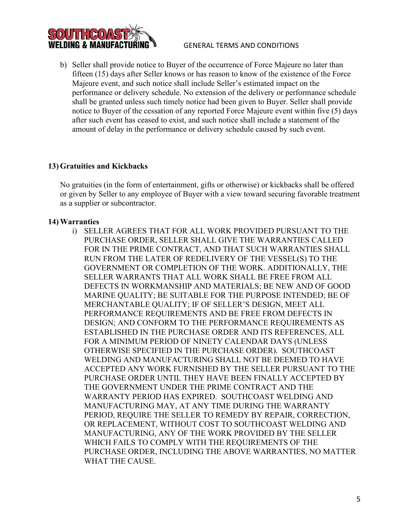

b) Seller shall provide notice to Buyer of the occurrence of Force Majeure no later than fifteen (15) days after Seller knows or has reason to know of the existence of the Force Majeure event, and such notice shall include Seller's estimated impact on the performance or delivery schedule. No extension of the delivery or performance schedule shall be granted unless such timely notice had been given to Buyer. Seller shall provide notice to Buyer of the cessation of any reported Force Majeure event within five (5) days after such event has ceased to exist, and such notice shall include a statement of the amount of delay in the performance or delivery schedule caused by such event.

## **13) Gratuities and Kickbacks**

No gratuities (in the form of entertainment, gifts or otherwise) or kickbacks shall be offered or given by Seller to any employee of Buyer with a view toward securing favorable treatment as a supplier or subcontractor.

#### **14) Warranties**

i) SELLER AGREES THAT FOR ALL WORK PROVIDED PURSUANT TO THE PURCHASE ORDER, SELLER SHALL GIVE THE WARRANTIES CALLED FOR IN THE PRIME CONTRACT, AND THAT SUCH WARRANTIES SHALL RUN FROM THE LATER OF REDELIVERY OF THE VESSEL(S) TO THE GOVERNMENT OR COMPLETION OF THE WORK. ADDITIONALLY, THE SELLER WARRANTS THAT ALL WORK SHALL BE FREE FROM ALL DEFECTS IN WORKMANSHIP AND MATERIALS; BE NEW AND OF GOOD MARINE QUALITY; BE SUITABLE FOR THE PURPOSE INTENDED; BE OF MERCHANTABLE QUALITY; IF OF SELLER'S DESIGN, MEET ALL PERFORMANCE REQUIREMENTS AND BE FREE FROM DEFECTS IN DESIGN; AND CONFORM TO THE PERFORMANCE REQUIREMENTS AS ESTABLISHED IN THE PURCHASE ORDER AND ITS REFERENCES, ALL FOR A MINIMUM PERIOD OF NINETY CALENDAR DAYS (UNLESS OTHERWISE SPECIFIED IN THE PURCHASE ORDER). SOUTHCOAST WELDING AND MANUFACTURING SHALL NOT BE DEEMED TO HAVE ACCEPTED ANY WORK FURNISHED BY THE SELLER PURSUANT TO THE PURCHASE ORDER UNTIL THEY HAVE BEEN FINALLY ACCEPTED BY THE GOVERNMENT UNDER THE PRIME CONTRACT AND THE WARRANTY PERIOD HAS EXPIRED. SOUTHCOAST WELDING AND MANUFACTURING MAY, AT ANY TIME DURING THE WARRANTY PERIOD, REQUIRE THE SELLER TO REMEDY BY REPAIR, CORRECTION, OR REPLACEMENT, WITHOUT COST TO SOUTHCOAST WELDING AND MANUFACTURING, ANY OF THE WORK PROVIDED BY THE SELLER WHICH FAILS TO COMPLY WITH THE REQUIREMENTS OF THE PURCHASE ORDER, INCLUDING THE ABOVE WARRANTIES, NO MATTER WHAT THE CAUSE.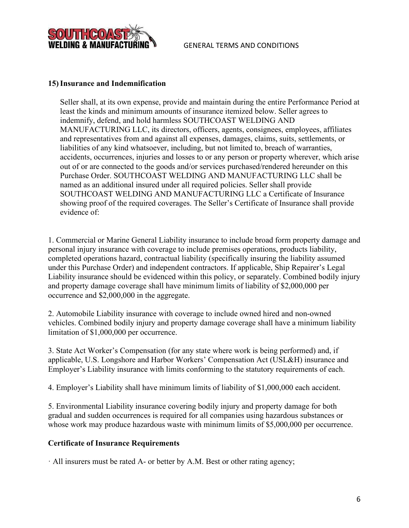

#### **15)Insurance and Indemnification**

Seller shall, at its own expense, provide and maintain during the entire Performance Period at least the kinds and minimum amounts of insurance itemized below. Seller agrees to indemnify, defend, and hold harmless SOUTHCOAST WELDING AND MANUFACTURING LLC, its directors, officers, agents, consignees, employees, affiliates and representatives from and against all expenses, damages, claims, suits, settlements, or liabilities of any kind whatsoever, including, but not limited to, breach of warranties, accidents, occurrences, injuries and losses to or any person or property wherever, which arise out of or are connected to the goods and/or services purchased/rendered hereunder on this Purchase Order. SOUTHCOAST WELDING AND MANUFACTURING LLC shall be named as an additional insured under all required policies. Seller shall provide SOUTHCOAST WELDING AND MANUFACTURING LLC a Certificate of Insurance showing proof of the required coverages. The Seller's Certificate of Insurance shall provide evidence of:

1. Commercial or Marine General Liability insurance to include broad form property damage and personal injury insurance with coverage to include premises operations, products liability, completed operations hazard, contractual liability (specifically insuring the liability assumed under this Purchase Order) and independent contractors. If applicable, Ship Repairer's Legal Liability insurance should be evidenced within this policy, or separately. Combined bodily injury and property damage coverage shall have minimum limits of liability of \$2,000,000 per occurrence and \$2,000,000 in the aggregate.

2. Automobile Liability insurance with coverage to include owned hired and non-owned vehicles. Combined bodily injury and property damage coverage shall have a minimum liability limitation of \$1,000,000 per occurrence.

3. State Act Worker's Compensation (for any state where work is being performed) and, if applicable, U.S. Longshore and Harbor Workers' Compensation Act (USL&H) insurance and Employer's Liability insurance with limits conforming to the statutory requirements of each.

4. Employer's Liability shall have minimum limits of liability of \$1,000,000 each accident.

5. Environmental Liability insurance covering bodily injury and property damage for both gradual and sudden occurrences is required for all companies using hazardous substances or whose work may produce hazardous waste with minimum limits of \$5,000,000 per occurrence.

#### **Certificate of Insurance Requirements**

· All insurers must be rated A- or better by A.M. Best or other rating agency;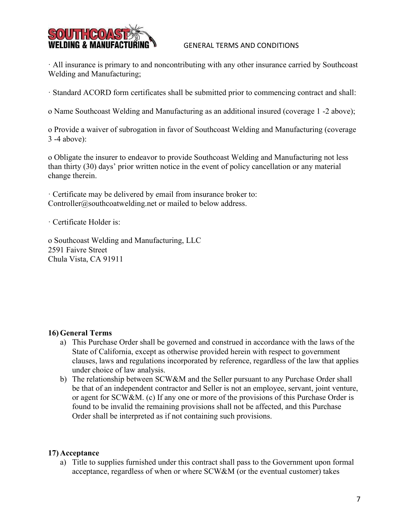

· All insurance is primary to and noncontributing with any other insurance carried by Southcoast Welding and Manufacturing;

· Standard ACORD form certificates shall be submitted prior to commencing contract and shall:

o Name Southcoast Welding and Manufacturing as an additional insured (coverage 1 -2 above);

o Provide a waiver of subrogation in favor of Southcoast Welding and Manufacturing (coverage 3 -4 above):

o Obligate the insurer to endeavor to provide Southcoast Welding and Manufacturing not less than thirty (30) days' prior written notice in the event of policy cancellation or any material change therein.

· Certificate may be delivered by email from insurance broker to: Controller@southcoatwelding.net or mailed to below address.

· Certificate Holder is:

o Southcoast Welding and Manufacturing, LLC 2591 Faivre Street Chula Vista, CA 91911

## **16) General Terms**

- a) This Purchase Order shall be governed and construed in accordance with the laws of the State of California, except as otherwise provided herein with respect to government clauses, laws and regulations incorporated by reference, regardless of the law that applies under choice of law analysis.
- b) The relationship between SCW&M and the Seller pursuant to any Purchase Order shall be that of an independent contractor and Seller is not an employee, servant, joint venture, or agent for SCW&M. (c) If any one or more of the provisions of this Purchase Order is found to be invalid the remaining provisions shall not be affected, and this Purchase Order shall be interpreted as if not containing such provisions.

#### **17) Acceptance**

a) Title to supplies furnished under this contract shall pass to the Government upon formal acceptance, regardless of when or where SCW&M (or the eventual customer) takes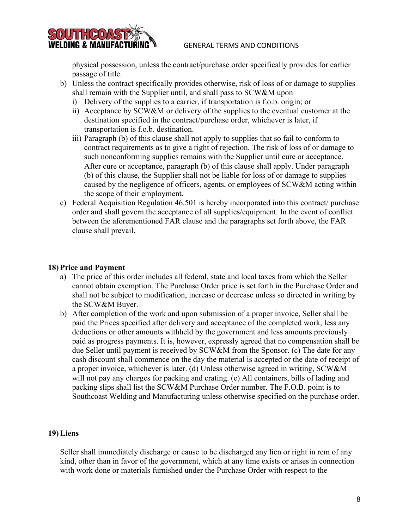



physical possession, unless the contract/purchase order specifically provides for earlier passage of title.

- b) Unless the contract specifically provides otherwise, risk of loss of or damage to supplies shall remain with the Supplier until, and shall pass to SCW&M upon
	- i) Delivery of the supplies to a carrier, if transportation is f.o.b. origin; or
	- ii) Acceptance by SCW&M or delivery of the supplies to the eventual customer at the destination specified in the contract/purchase order, whichever is later, if transportation is f.o.b. destination.
	- iii) Paragraph (b) of this clause shall not apply to supplies that so fail to conform to contract requirements as to give a right of rejection. The risk of loss of or damage to such nonconforming supplies remains with the Supplier until cure or acceptance. After cure or acceptance, paragraph (b) of this clause shall apply. Under paragraph (b) of this clause, the Supplier shall not be liable for loss of or damage to supplies caused by the negligence of officers, agents, or employees of SCW&M acting within the scope of their employment.
- c) Federal Acquisition Regulation 46.501 is hereby incorporated into this contract/ purchase order and shall govern the acceptance of all supplies/equipment. In the event of conflict between the aforementioned FAR clause and the paragraphs set forth above, the FAR clause shall prevail.

## **18) Price and Payment**

- a) The price of this order includes all federal, state and local taxes from which the Seller cannot obtain exemption. The Purchase Order price is set forth in the Purchase Order and shall not be subject to modification, increase or decrease unless so directed in writing by the SCW&M Buyer.
- b) After completion of the work and upon submission of a proper invoice, Seller shall be paid the Prices specified after delivery and acceptance of the completed work, less any deductions or other amounts withheld by the government and less amounts previously paid as progress payments. It is, however, expressly agreed that no compensation shall be due Seller until payment is received by SCW&M from the Sponsor. (c) The date for any cash discount shall commence on the day the material is accepted or the date of receipt of a proper invoice, whichever is later. (d) Unless otherwise agreed in writing, SCW&M will not pay any charges for packing and crating. (e) All containers, bills of lading and packing slips shall list the SCW&M Purchase Order number. The F.O.B. point is to Southcoast Welding and Manufacturing unless otherwise specified on the purchase order.

#### **19) Liens**

Seller shall immediately discharge or cause to be discharged any lien or right in rem of any kind, other than in favor of the government, which at any time exists or arises in connection with work done or materials furnished under the Purchase Order with respect to the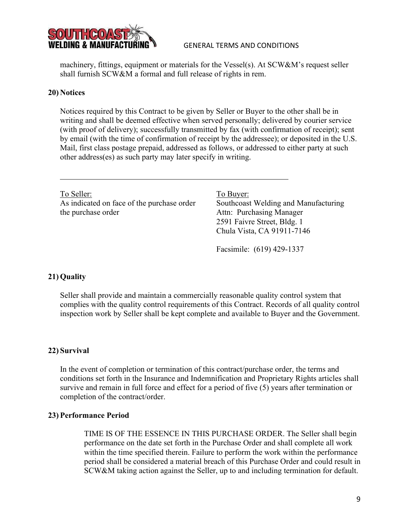

machinery, fittings, equipment or materials for the Vessel(s). At SCW&M's request seller shall furnish SCW&M a formal and full release of rights in rem.

#### **20) Notices**

Notices required by this Contract to be given by Seller or Buyer to the other shall be in writing and shall be deemed effective when served personally; delivered by courier service (with proof of delivery); successfully transmitted by fax (with confirmation of receipt); sent by email (with the time of confirmation of receipt by the addressee); or deposited in the U.S. Mail, first class postage prepaid, addressed as follows, or addressed to either party at such other address(es) as such party may later specify in writing.

To Seller: To Buyer: As indicated on face of the purchase order Southcoast Welding and Manufacturing the purchase order Attn: Purchasing Manager

2591 Faivre Street, Bldg. 1 Chula Vista, CA 91911-7146

Facsimile: (619) 429-1337

#### **21) Quality**

Seller shall provide and maintain a commercially reasonable quality control system that complies with the quality control requirements of this Contract. Records of all quality control inspection work by Seller shall be kept complete and available to Buyer and the Government.

#### **22) Survival**

In the event of completion or termination of this contract/purchase order, the terms and conditions set forth in the Insurance and Indemnification and Proprietary Rights articles shall survive and remain in full force and effect for a period of five (5) years after termination or completion of the contract/order.

#### **23) Performance Period**

TIME IS OF THE ESSENCE IN THIS PURCHASE ORDER. The Seller shall begin performance on the date set forth in the Purchase Order and shall complete all work within the time specified therein. Failure to perform the work within the performance period shall be considered a material breach of this Purchase Order and could result in SCW&M taking action against the Seller, up to and including termination for default.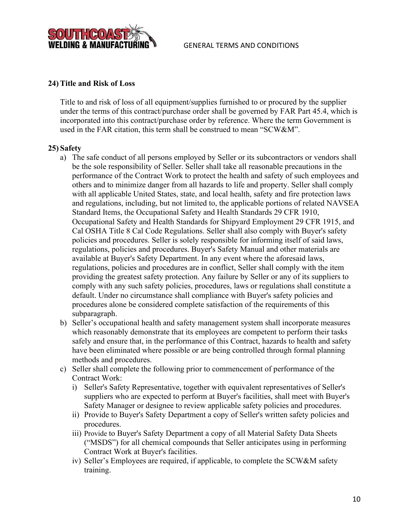

### **24) Title and Risk of Loss**

Title to and risk of loss of all equipment/supplies furnished to or procured by the supplier under the terms of this contract/purchase order shall be governed by FAR Part 45.4, which is incorporated into this contract/purchase order by reference. Where the term Government is used in the FAR citation, this term shall be construed to mean "SCW&M".

#### **25) Safety**

- a) The safe conduct of all persons employed by Seller or its subcontractors or vendors shall be the sole responsibility of Seller. Seller shall take all reasonable precautions in the performance of the Contract Work to protect the health and safety of such employees and others and to minimize danger from all hazards to life and property. Seller shall comply with all applicable United States, state, and local health, safety and fire protection laws and regulations, including, but not limited to, the applicable portions of related NAVSEA Standard Items, the Occupational Safety and Health Standards 29 CFR 1910, Occupational Safety and Health Standards for Shipyard Employment 29 CFR 1915, and Cal OSHA Title 8 Cal Code Regulations. Seller shall also comply with Buyer's safety policies and procedures. Seller is solely responsible for informing itself of said laws, regulations, policies and procedures. Buyer's Safety Manual and other materials are available at Buyer's Safety Department. In any event where the aforesaid laws, regulations, policies and procedures are in conflict, Seller shall comply with the item providing the greatest safety protection. Any failure by Seller or any of its suppliers to comply with any such safety policies, procedures, laws or regulations shall constitute a default. Under no circumstance shall compliance with Buyer's safety policies and procedures alone be considered complete satisfaction of the requirements of this subparagraph.
- b) Seller's occupational health and safety management system shall incorporate measures which reasonably demonstrate that its employees are competent to perform their tasks safely and ensure that, in the performance of this Contract, hazards to health and safety have been eliminated where possible or are being controlled through formal planning methods and procedures.
- c) Seller shall complete the following prior to commencement of performance of the Contract Work:
	- i) Seller's Safety Representative, together with equivalent representatives of Seller's suppliers who are expected to perform at Buyer's facilities, shall meet with Buyer's Safety Manager or designee to review applicable safety policies and procedures.
	- ii) Provide to Buyer's Safety Department a copy of Seller's written safety policies and procedures.
	- iii) Provide to Buyer's Safety Department a copy of all Material Safety Data Sheets ("MSDS") for all chemical compounds that Seller anticipates using in performing Contract Work at Buyer's facilities.
	- iv) Seller's Employees are required, if applicable, to complete the SCW&M safety training.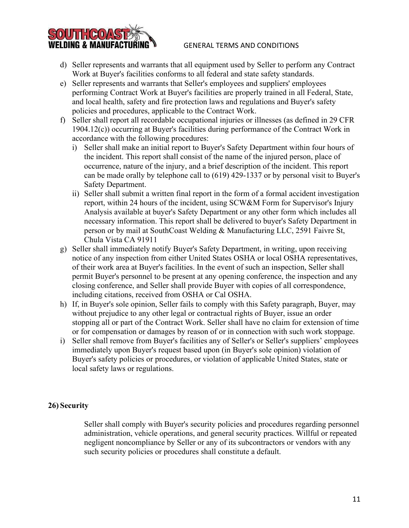

- e) Seller represents and warrants that Seller's employees and suppliers' employees performing Contract Work at Buyer's facilities are properly trained in all Federal, State, and local health, safety and fire protection laws and regulations and Buyer's safety policies and procedures, applicable to the Contract Work.
- f) Seller shall report all recordable occupational injuries or illnesses (as defined in 29 CFR 1904.12(c)) occurring at Buyer's facilities during performance of the Contract Work in accordance with the following procedures:
	- i) Seller shall make an initial report to Buyer's Safety Department within four hours of the incident. This report shall consist of the name of the injured person, place of occurrence, nature of the injury, and a brief description of the incident. This report can be made orally by telephone call to (619) 429-1337 or by personal visit to Buyer's Safety Department.
	- ii) Seller shall submit a written final report in the form of a formal accident investigation report, within 24 hours of the incident, using SCW&M Form for Supervisor's Injury Analysis available at buyer's Safety Department or any other form which includes all necessary information. This report shall be delivered to buyer's Safety Department in person or by mail at SouthCoast Welding & Manufacturing LLC, 2591 Faivre St, Chula Vista CA 91911
- g) Seller shall immediately notify Buyer's Safety Department, in writing, upon receiving notice of any inspection from either United States OSHA or local OSHA representatives, of their work area at Buyer's facilities. In the event of such an inspection, Seller shall permit Buyer's personnel to be present at any opening conference, the inspection and any closing conference, and Seller shall provide Buyer with copies of all correspondence, including citations, received from OSHA or Cal OSHA.
- h) If, in Buyer's sole opinion, Seller fails to comply with this Safety paragraph, Buyer, may without prejudice to any other legal or contractual rights of Buyer, issue an order stopping all or part of the Contract Work. Seller shall have no claim for extension of time or for compensation or damages by reason of or in connection with such work stoppage.
- i) Seller shall remove from Buyer's facilities any of Seller's or Seller's suppliers' employees immediately upon Buyer's request based upon (in Buyer's sole opinion) violation of Buyer's safety policies or procedures, or violation of applicable United States, state or local safety laws or regulations.

## **26) Security**

30U11.GO

Seller shall comply with Buyer's security policies and procedures regarding personnel administration, vehicle operations, and general security practices. Willful or repeated negligent noncompliance by Seller or any of its subcontractors or vendors with any such security policies or procedures shall constitute a default.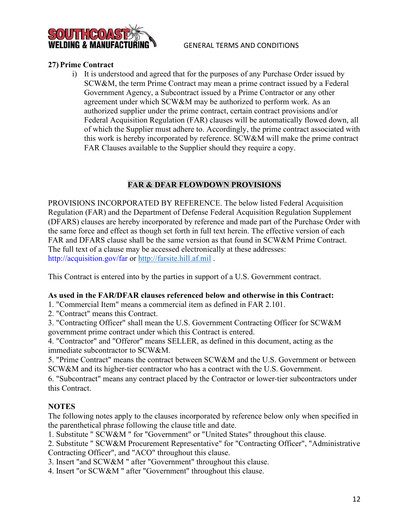

#### **27) Prime Contract**

i) It is understood and agreed that for the purposes of any Purchase Order issued by SCW&M, the term Prime Contract may mean a prime contract issued by a Federal Government Agency, a Subcontract issued by a Prime Contractor or any other agreement under which SCW&M may be authorized to perform work. As an authorized supplier under the prime contract, certain contract provisions and/or Federal Acquisition Regulation (FAR) clauses will be automatically flowed down, all of which the Supplier must adhere to. Accordingly, the prime contract associated with this work is hereby incorporated by reference. SCW&M will make the prime contract FAR Clauses available to the Supplier should they require a copy.

## **FAR & DFAR FLOWDOWN PROVISIONS**

PROVISIONS INCORPORATED BY REFERENCE. The below listed Federal Acquisition Regulation (FAR) and the Department of Defense Federal Acquisition Regulation Supplement (DFARS) clauses are hereby incorporated by reference and made part of the Purchase Order with the same force and effect as though set forth in full text herein. The effective version of each FAR and DFARS clause shall be the same version as that found in SCW&M Prime Contract. The full text of a clause may be accessed electronically at these addresses: http://acquisition.gov/far or [http://farsite.hill.af.mil](http://farsite.hill.af.mil/) .

This Contract is entered into by the parties in support of a U.S. Government contract.

#### **As used in the FAR/DFAR clauses referenced below and otherwise in this Contract:**

1. "Commercial Item" means a commercial item as defined in FAR 2.101.

2. "Contract" means this Contract.

3. "Contracting Officer" shall mean the U.S. Government Contracting Officer for SCW&M government prime contract under which this Contract is entered.

4. "Contractor" and "Offeror" means SELLER, as defined in this document, acting as the immediate subcontractor to SCW&M.

5. "Prime Contract" means the contract between SCW&M and the U.S. Government or between SCW&M and its higher-tier contractor who has a contract with the U.S. Government.

6. "Subcontract" means any contract placed by the Contractor or lower‐tier subcontractors under this Contract.

#### **NOTES**

The following notes apply to the clauses incorporated by reference below only when specified in the parenthetical phrase following the clause title and date.

1. Substitute " SCW&M " for "Government" or "United States" throughout this clause.

2. Substitute " SCW&M Procurement Representative" for "Contracting Officer", "Administrative Contracting Officer", and "ACO" throughout this clause.

3. Insert "and SCW&M " after "Government" throughout this clause.

4. Insert "or SCW&M " after "Government" throughout this clause.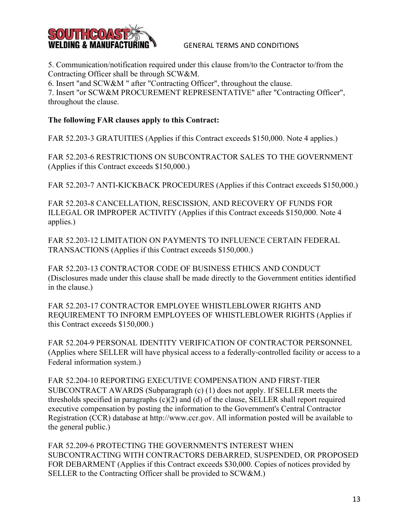

5. Communication/notification required under this clause from/to the Contractor to/from the Contracting Officer shall be through SCW&M.

6. Insert "and SCW&M " after "Contracting Officer", throughout the clause.

7. Insert "or SCW&M PROCUREMENT REPRESENTATIVE" after "Contracting Officer", throughout the clause.

## **The following FAR clauses apply to this Contract:**

FAR 52.203-3 GRATUITIES (Applies if this Contract exceeds \$150,000. Note 4 applies.)

FAR 52.203‐6 RESTRICTIONS ON SUBCONTRACTOR SALES TO THE GOVERNMENT (Applies if this Contract exceeds \$150,000.)

FAR 52.203-7 ANTI-KICKBACK PROCEDURES (Applies if this Contract exceeds \$150,000.)

FAR 52.203-8 CANCELLATION, RESCISSION, AND RECOVERY OF FUNDS FOR ILLEGAL OR IMPROPER ACTIVITY (Applies if this Contract exceeds \$150,000. Note 4 applies.)

FAR 52.203‐12 LIMITATION ON PAYMENTS TO INFLUENCE CERTAIN FEDERAL TRANSACTIONS (Applies if this Contract exceeds \$150,000.)

FAR 52.203‐13 CONTRACTOR CODE OF BUSINESS ETHICS AND CONDUCT (Disclosures made under this clause shall be made directly to the Government entities identified in the clause.)

FAR 52.203-17 CONTRACTOR EMPLOYEE WHISTLEBLOWER RIGHTS AND REQUIREMENT TO INFORM EMPLOYEES OF WHISTLEBLOWER RIGHTS (Applies if this Contract exceeds \$150,000.)

FAR 52.204‐9 PERSONAL IDENTITY VERIFICATION OF CONTRACTOR PERSONNEL (Applies where SELLER will have physical access to a federally‐controlled facility or access to a Federal information system.)

FAR 52.204-10 REPORTING EXECUTIVE COMPENSATION AND FIRST-TIER SUBCONTRACT AWARDS (Subparagraph (c) (1) does not apply. If SELLER meets the thresholds specified in paragraphs (c)(2) and (d) of the clause, SELLER shall report required executive compensation by posting the information to the Government's Central Contractor Registration (CCR) database at http://www.ccr.gov. All information posted will be available to the general public.)

FAR 52.209-6 PROTECTING THE GOVERNMENT'S INTEREST WHEN SUBCONTRACTING WITH CONTRACTORS DEBARRED, SUSPENDED, OR PROPOSED FOR DEBARMENT (Applies if this Contract exceeds \$30,000. Copies of notices provided by SELLER to the Contracting Officer shall be provided to SCW&M.)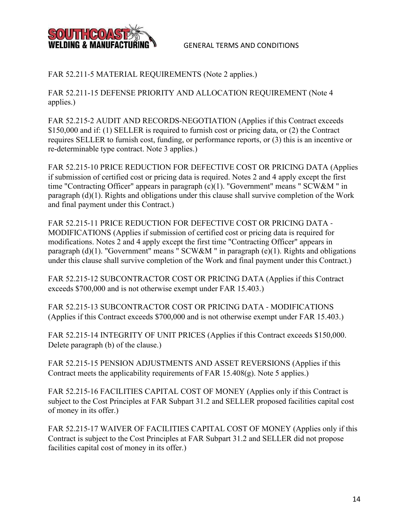

## FAR 52.211-5 MATERIAL REQUIREMENTS (Note 2 applies.)

FAR 52.211-15 DEFENSE PRIORITY AND ALLOCATION REQUIREMENT (Note 4 applies.)

FAR 52.215-2 AUDIT AND RECORDS-NEGOTIATION (Applies if this Contract exceeds \$150,000 and if: (1) SELLER is required to furnish cost or pricing data, or (2) the Contract requires SELLER to furnish cost, funding, or performance reports, or (3) this is an incentive or re-determinable type contract. Note 3 applies.)

FAR 52.215-10 PRICE REDUCTION FOR DEFECTIVE COST OR PRICING DATA (Applies if submission of certified cost or pricing data is required. Notes 2 and 4 apply except the first time "Contracting Officer" appears in paragraph (c)(1). "Government" means " SCW&M " in paragraph (d)(1). Rights and obligations under this clause shall survive completion of the Work and final payment under this Contract.)

FAR 52.215‐11 PRICE REDUCTION FOR DEFECTIVE COST OR PRICING DATA ‐ MODIFICATIONS (Applies if submission of certified cost or pricing data is required for modifications. Notes 2 and 4 apply except the first time "Contracting Officer" appears in paragraph (d)(1). "Government" means " SCW&M " in paragraph (e)(1). Rights and obligations under this clause shall survive completion of the Work and final payment under this Contract.)

FAR 52.215‐12 SUBCONTRACTOR COST OR PRICING DATA (Applies if this Contract exceeds \$700,000 and is not otherwise exempt under FAR 15.403.)

FAR 52.215‐13 SUBCONTRACTOR COST OR PRICING DATA ‐ MODIFICATIONS (Applies if this Contract exceeds \$700,000 and is not otherwise exempt under FAR 15.403.)

FAR 52.215-14 INTEGRITY OF UNIT PRICES (Applies if this Contract exceeds \$150,000. Delete paragraph (b) of the clause.)

FAR 52.215‐15 PENSION ADJUSTMENTS AND ASSET REVERSIONS (Applies if this Contract meets the applicability requirements of FAR 15.408(g). Note 5 applies.)

FAR 52.215-16 FACILITIES CAPITAL COST OF MONEY (Applies only if this Contract is subject to the Cost Principles at FAR Subpart 31.2 and SELLER proposed facilities capital cost of money in its offer.)

FAR 52.215-17 WAIVER OF FACILITIES CAPITAL COST OF MONEY (Applies only if this Contract is subject to the Cost Principles at FAR Subpart 31.2 and SELLER did not propose facilities capital cost of money in its offer.)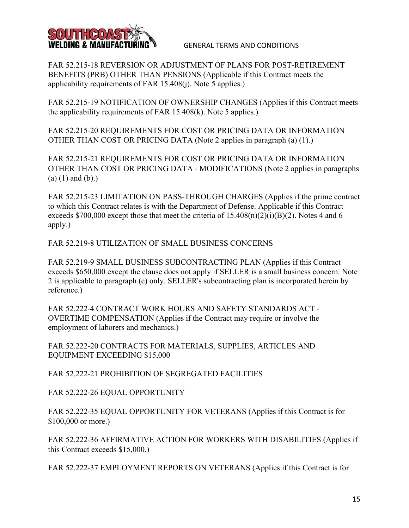

FAR 52.215‐18 REVERSION OR ADJUSTMENT OF PLANS FOR POST‐RETIREMENT BENEFITS (PRB) OTHER THAN PENSIONS (Applicable if this Contract meets the applicability requirements of FAR 15.408(j). Note 5 applies.)

FAR 52.215-19 NOTIFICATION OF OWNERSHIP CHANGES (Applies if this Contract meets the applicability requirements of FAR 15.408(k). Note 5 applies.)

FAR 52.215‐20 REQUIREMENTS FOR COST OR PRICING DATA OR INFORMATION OTHER THAN COST OR PRICING DATA (Note 2 applies in paragraph (a) (1).)

FAR 52.215‐21 REQUIREMENTS FOR COST OR PRICING DATA OR INFORMATION OTHER THAN COST OR PRICING DATA ‐ MODIFICATIONS (Note 2 applies in paragraphs  $(a) (1)$  and  $(b)$ .)

FAR 52.215-23 LIMITATION ON PASS-THROUGH CHARGES (Applies if the prime contract to which this Contract relates is with the Department of Defense. Applicable if this Contract exceeds \$700,000 except those that meet the criteria of  $15.408(n)(2)(i)(B)(2)$ . Notes 4 and 6 apply.)

FAR 52.219‐8 UTILIZATION OF SMALL BUSINESS CONCERNS

FAR 52.219-9 SMALL BUSINESS SUBCONTRACTING PLAN (Applies if this Contract exceeds \$650,000 except the clause does not apply if SELLER is a small business concern. Note 2 is applicable to paragraph (c) only. SELLER's subcontracting plan is incorporated herein by reference.)

FAR 52.222‐4 CONTRACT WORK HOURS AND SAFETY STANDARDS ACT ‐ OVERTIME COMPENSATION (Applies if the Contract may require or involve the employment of laborers and mechanics.)

FAR 52.222-20 CONTRACTS FOR MATERIALS, SUPPLIES, ARTICLES AND EQUIPMENT EXCEEDING \$15,000

FAR 52.222‐21 PROHIBITION OF SEGREGATED FACILITIES

FAR 52.222-26 EQUAL OPPORTUNITY

FAR 52.222‐35 EQUAL OPPORTUNITY FOR VETERANS (Applies if this Contract is for \$100,000 or more.)

FAR 52.222‐36 AFFIRMATIVE ACTION FOR WORKERS WITH DISABILITIES (Applies if this Contract exceeds \$15,000.)

FAR 52.222‐37 EMPLOYMENT REPORTS ON VETERANS (Applies if this Contract is for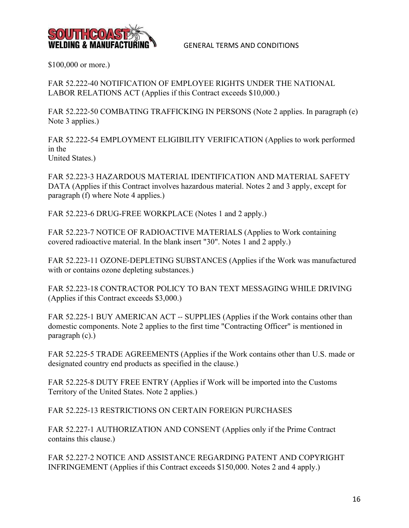

\$100,000 or more.)

FAR 52.222-40 NOTIFICATION OF EMPLOYEE RIGHTS UNDER THE NATIONAL LABOR RELATIONS ACT (Applies if this Contract exceeds \$10,000.)

FAR 52.222-50 COMBATING TRAFFICKING IN PERSONS (Note 2 applies. In paragraph (e) Note 3 applies.)

FAR 52.222-54 EMPLOYMENT ELIGIBILITY VERIFICATION (Applies to work performed in the United States.)

FAR 52.223‐3 HAZARDOUS MATERIAL IDENTIFICATION AND MATERIAL SAFETY DATA (Applies if this Contract involves hazardous material. Notes 2 and 3 apply, except for paragraph (f) where Note 4 applies.)

FAR 52.223-6 DRUG-FREE WORKPLACE (Notes 1 and 2 apply.)

FAR 52.223-7 NOTICE OF RADIOACTIVE MATERIALS (Applies to Work containing covered radioactive material. In the blank insert "30". Notes 1 and 2 apply.)

FAR 52.223-11 OZONE-DEPLETING SUBSTANCES (Applies if the Work was manufactured with or contains ozone depleting substances.)

FAR 52.223-18 CONTRACTOR POLICY TO BAN TEXT MESSAGING WHILE DRIVING (Applies if this Contract exceeds \$3,000.)

FAR 52.225-1 BUY AMERICAN ACT -- SUPPLIES (Applies if the Work contains other than domestic components. Note 2 applies to the first time "Contracting Officer" is mentioned in paragraph (c).)

FAR 52.225-5 TRADE AGREEMENTS (Applies if the Work contains other than U.S. made or designated country end products as specified in the clause.)

FAR 52.225-8 DUTY FREE ENTRY (Applies if Work will be imported into the Customs Territory of the United States. Note 2 applies.)

FAR 52.225‐13 RESTRICTIONS ON CERTAIN FOREIGN PURCHASES

FAR 52.227-1 AUTHORIZATION AND CONSENT (Applies only if the Prime Contract contains this clause.)

FAR 52.227‐2 NOTICE AND ASSISTANCE REGARDING PATENT AND COPYRIGHT INFRINGEMENT (Applies if this Contract exceeds \$150,000. Notes 2 and 4 apply.)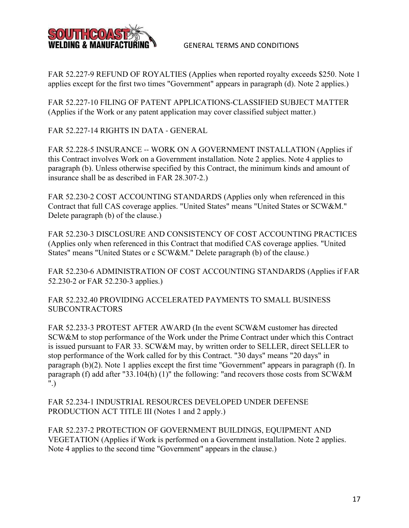

FAR 52.227-9 REFUND OF ROYALTIES (Applies when reported royalty exceeds \$250. Note 1 applies except for the first two times "Government" appears in paragraph (d). Note 2 applies.)

FAR 52.227‐10 FILING OF PATENT APPLICATIONS‐CLASSIFIED SUBJECT MATTER (Applies if the Work or any patent application may cover classified subject matter.)

FAR 52.227‐14 RIGHTS IN DATA ‐ GENERAL

FAR 52.228-5 INSURANCE -- WORK ON A GOVERNMENT INSTALLATION (Applies if this Contract involves Work on a Government installation. Note 2 applies. Note 4 applies to paragraph (b). Unless otherwise specified by this Contract, the minimum kinds and amount of insurance shall be as described in FAR 28.307‐2.)

FAR 52.230-2 COST ACCOUNTING STANDARDS (Applies only when referenced in this Contract that full CAS coverage applies. "United States" means "United States or SCW&M." Delete paragraph (b) of the clause.)

FAR 52.230‐3 DISCLOSURE AND CONSISTENCY OF COST ACCOUNTING PRACTICES (Applies only when referenced in this Contract that modified CAS coverage applies. "United States" means "United States or c SCW&M." Delete paragraph (b) of the clause.)

FAR 52.230‐6 ADMINISTRATION OF COST ACCOUNTING STANDARDS (Applies if FAR 52.230‐2 or FAR 52.230‐3 applies.)

FAR 52.232.40 PROVIDING ACCELERATED PAYMENTS TO SMALL BUSINESS SUBCONTRACTORS

FAR 52.233-3 PROTEST AFTER AWARD (In the event SCW&M customer has directed SCW&M to stop performance of the Work under the Prime Contract under which this Contract is issued pursuant to FAR 33. SCW&M may, by written order to SELLER, direct SELLER to stop performance of the Work called for by this Contract. "30 days" means "20 days" in paragraph (b)(2). Note 1 applies except the first time "Government" appears in paragraph (f). In paragraph (f) add after "33.104(h) (1)" the following: "and recovers those costs from SCW&M ".)

FAR 52.234‐1 INDUSTRIAL RESOURCES DEVELOPED UNDER DEFENSE PRODUCTION ACT TITLE III (Notes 1 and 2 apply.)

FAR 52.237-2 PROTECTION OF GOVERNMENT BUILDINGS, EQUIPMENT AND VEGETATION (Applies if Work is performed on a Government installation. Note 2 applies. Note 4 applies to the second time "Government" appears in the clause.)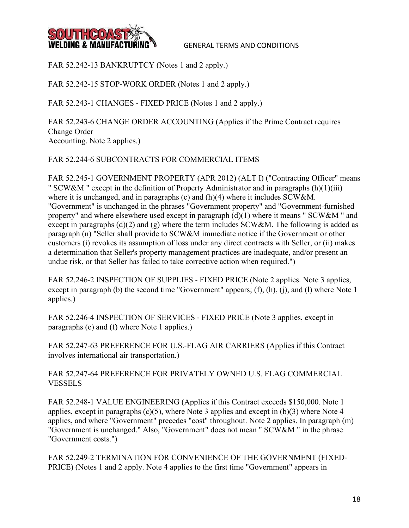

FAR 52.242-13 BANKRUPTCY (Notes 1 and 2 apply.)

FAR 52.242-15 STOP-WORK ORDER (Notes 1 and 2 apply.)

FAR 52.243-1 CHANGES - FIXED PRICE (Notes 1 and 2 apply.)

FAR 52.243-6 CHANGE ORDER ACCOUNTING (Applies if the Prime Contract requires Change Order Accounting. Note 2 applies.)

## FAR 52.244‐6 SUBCONTRACTS FOR COMMERCIAL ITEMS

FAR 52.245-1 GOVERNMENT PROPERTY (APR 2012) (ALT I) ("Contracting Officer" means " SCW&M " except in the definition of Property Administrator and in paragraphs (h)(1)(iii) where it is unchanged, and in paragraphs (c) and (h)(4) where it includes SCW&M. "Government" is unchanged in the phrases "Government property" and "Government-furnished property" and where elsewhere used except in paragraph (d)(1) where it means " SCW&M " and except in paragraphs (d)(2) and (g) where the term includes SCW&M. The following is added as paragraph (n) "Seller shall provide to SCW&M immediate notice if the Government or other customers (i) revokes its assumption of loss under any direct contracts with Seller, or (ii) makes a determination that Seller's property management practices are inadequate, and/or present an undue risk, or that Seller has failed to take corrective action when required.")

FAR 52.246-2 INSPECTION OF SUPPLIES - FIXED PRICE (Note 2 applies. Note 3 applies, except in paragraph (b) the second time "Government" appears; (f), (h), (j), and (l) where Note 1 applies.)

FAR 52.246-4 INSPECTION OF SERVICES - FIXED PRICE (Note 3 applies, except in paragraphs (e) and (f) where Note 1 applies.)

FAR 52.247‐63 PREFERENCE FOR U.S.‐FLAG AIR CARRIERS (Applies if this Contract involves international air transportation.)

FAR 52.247‐64 PREFERENCE FOR PRIVATELY OWNED U.S. FLAG COMMERCIAL **VESSELS** 

FAR 52.248‐1 VALUE ENGINEERING (Applies if this Contract exceeds \$150,000. Note 1 applies, except in paragraphs  $(c)(5)$ , where Note 3 applies and except in  $(b)(3)$  where Note 4 applies, and where "Government" precedes "cost" throughout. Note 2 applies. In paragraph (m) "Government is unchanged." Also, "Government" does not mean " SCW&M " in the phrase "Government costs.")

FAR 52.249-2 TERMINATION FOR CONVENIENCE OF THE GOVERNMENT (FIXED-PRICE) (Notes 1 and 2 apply. Note 4 applies to the first time "Government" appears in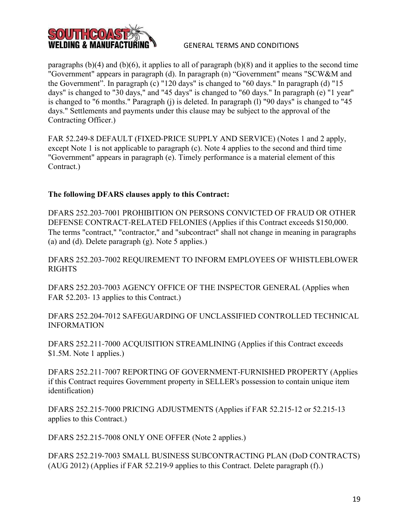

paragraphs  $(b)(4)$  and  $(b)(6)$ , it applies to all of paragraph  $(b)(8)$  and it applies to the second time "Government" appears in paragraph (d). In paragraph (n) "Government" means "SCW&M and the Government". In paragraph (c) "120 days" is changed to "60 days." In paragraph (d) "15 days" is changed to "30 days," and "45 days" is changed to "60 days." In paragraph (e) "1 year" is changed to "6 months." Paragraph (j) is deleted. In paragraph (l) "90 days" is changed to "45 days." Settlements and payments under this clause may be subject to the approval of the Contracting Officer.)

FAR 52.249-8 DEFAULT (FIXED-PRICE SUPPLY AND SERVICE) (Notes 1 and 2 apply, except Note 1 is not applicable to paragraph (c). Note 4 applies to the second and third time "Government" appears in paragraph (e). Timely performance is a material element of this Contract.)

## **The following DFARS clauses apply to this Contract:**

DFARS 252.203‐7001 PROHIBITION ON PERSONS CONVICTED OF FRAUD OR OTHER DEFENSE CONTRACT‐RELATED FELONIES (Applies if this Contract exceeds \$150,000. The terms "contract," "contractor," and "subcontract" shall not change in meaning in paragraphs (a) and (d). Delete paragraph (g). Note 5 applies.)

DFARS 252.203-7002 REQUIREMENT TO INFORM EMPLOYEES OF WHISTLEBLOWER RIGHTS

DFARS 252.203‐7003 AGENCY OFFICE OF THE INSPECTOR GENERAL (Applies when FAR 52.203-13 applies to this Contract.)

DFARS 252.204-7012 SAFEGUARDING OF UNCLASSIFIED CONTROLLED TECHNICAL INFORMATION

DFARS 252.211‐7000 ACQUISITION STREAMLINING (Applies if this Contract exceeds \$1.5M. Note 1 applies.)

DFARS 252.211‐7007 REPORTING OF GOVERNMENT‐FURNISHED PROPERTY (Applies if this Contract requires Government property in SELLER's possession to contain unique item identification)

DFARS 252.215‐7000 PRICING ADJUSTMENTS (Applies if FAR 52.215‐12 or 52.215‐13 applies to this Contract.)

DFARS 252.215-7008 ONLY ONE OFFER (Note 2 applies.)

DFARS 252.219‐7003 SMALL BUSINESS SUBCONTRACTING PLAN (DoD CONTRACTS) (AUG 2012) (Applies if FAR 52.219‐9 applies to this Contract. Delete paragraph (f).)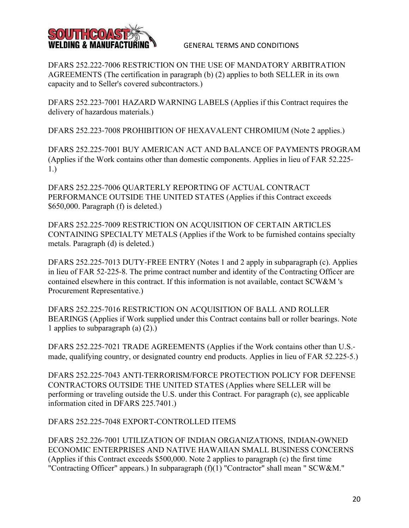

DFARS 252.222‐7006 RESTRICTION ON THE USE OF MANDATORY ARBITRATION AGREEMENTS (The certification in paragraph (b) (2) applies to both SELLER in its own capacity and to Seller's covered subcontractors.)

DFARS 252.223‐7001 HAZARD WARNING LABELS (Applies if this Contract requires the delivery of hazardous materials.)

DFARS 252.223‐7008 PROHIBITION OF HEXAVALENT CHROMIUM (Note 2 applies.)

DFARS 252.225‐7001 BUY AMERICAN ACT AND BALANCE OF PAYMENTS PROGRAM (Applies if the Work contains other than domestic components. Applies in lieu of FAR 52.225‐ 1.)

DFARS 252.225‐7006 QUARTERLY REPORTING OF ACTUAL CONTRACT PERFORMANCE OUTSIDE THE UNITED STATES (Applies if this Contract exceeds \$650,000. Paragraph (f) is deleted.)

DFARS 252.225‐7009 RESTRICTION ON ACQUISITION OF CERTAIN ARTICLES CONTAINING SPECIALTY METALS (Applies if the Work to be furnished contains specialty metals. Paragraph (d) is deleted.)

DFARS 252.225-7013 DUTY-FREE ENTRY (Notes 1 and 2 apply in subparagraph (c). Applies in lieu of FAR 52‐225‐8. The prime contract number and identity of the Contracting Officer are contained elsewhere in this contract. If this information is not available, contact SCW&M 's Procurement Representative.)

DFARS 252.225‐7016 RESTRICTION ON ACQUISITION OF BALL AND ROLLER BEARINGS (Applies if Work supplied under this Contract contains ball or roller bearings. Note 1 applies to subparagraph (a) (2).)

DFARS 252.225-7021 TRADE AGREEMENTS (Applies if the Work contains other than U.S.made, qualifying country, or designated country end products. Applies in lieu of FAR 52.225‐5.)

DFARS 252.225‐7043 ANTI‐TERRORISM/FORCE PROTECTION POLICY FOR DEFENSE CONTRACTORS OUTSIDE THE UNITED STATES (Applies where SELLER will be performing or traveling outside the U.S. under this Contract. For paragraph (c), see applicable information cited in DFARS 225.7401.)

DFARS 252.225-7048 EXPORT-CONTROLLED ITEMS

DFARS 252.226‐7001 UTILIZATION OF INDIAN ORGANIZATIONS, INDIAN‐OWNED ECONOMIC ENTERPRISES AND NATIVE HAWAIIAN SMALL BUSINESS CONCERNS (Applies if this Contract exceeds \$500,000. Note 2 applies to paragraph (c) the first time "Contracting Officer" appears.) In subparagraph (f)(1) "Contractor" shall mean " SCW&M."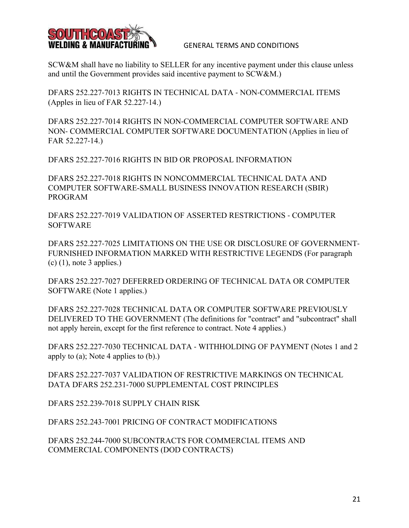

SCW&M shall have no liability to SELLER for any incentive payment under this clause unless and until the Government provides said incentive payment to SCW&M.)

DFARS 252.227‐7013 RIGHTS IN TECHNICAL DATA ‐ NON‐COMMERCIAL ITEMS (Apples in lieu of FAR 52.227‐14.)

DFARS 252.227‐7014 RIGHTS IN NON‐COMMERCIAL COMPUTER SOFTWARE AND NON‐ COMMERCIAL COMPUTER SOFTWARE DOCUMENTATION (Applies in lieu of FAR 52.227‐14.)

DFARS 252.227‐7016 RIGHTS IN BID OR PROPOSAL INFORMATION

DFARS 252.227-7018 RIGHTS IN NONCOMMERCIAL TECHNICAL DATA AND COMPUTER SOFTWARE-SMALL BUSINESS INNOVATION RESEARCH (SBIR) PROGRAM

DFARS 252.227‐7019 VALIDATION OF ASSERTED RESTRICTIONS ‐ COMPUTER SOFTWARE

DFARS 252.227‐7025 LIMITATIONS ON THE USE OR DISCLOSURE OF GOVERNMENT‐ FURNISHED INFORMATION MARKED WITH RESTRICTIVE LEGENDS (For paragraph  $(c)$  (1), note 3 applies.)

DFARS 252.227‐7027 DEFERRED ORDERING OF TECHNICAL DATA OR COMPUTER SOFTWARE (Note 1 applies.)

DFARS 252.227‐7028 TECHNICAL DATA OR COMPUTER SOFTWARE PREVIOUSLY DELIVERED TO THE GOVERNMENT (The definitions for "contract" and "subcontract" shall not apply herein, except for the first reference to contract. Note 4 applies.)

DFARS 252.227-7030 TECHNICAL DATA - WITHHOLDING OF PAYMENT (Notes 1 and 2) apply to (a); Note 4 applies to (b).)

DFARS 252.227‐7037 VALIDATION OF RESTRICTIVE MARKINGS ON TECHNICAL DATA DFARS 252.231‐7000 SUPPLEMENTAL COST PRINCIPLES

DFARS 252.239-7018 SUPPLY CHAIN RISK

DFARS 252.243‐7001 PRICING OF CONTRACT MODIFICATIONS

DFARS 252.244-7000 SUBCONTRACTS FOR COMMERCIAL ITEMS AND COMMERCIAL COMPONENTS (DOD CONTRACTS)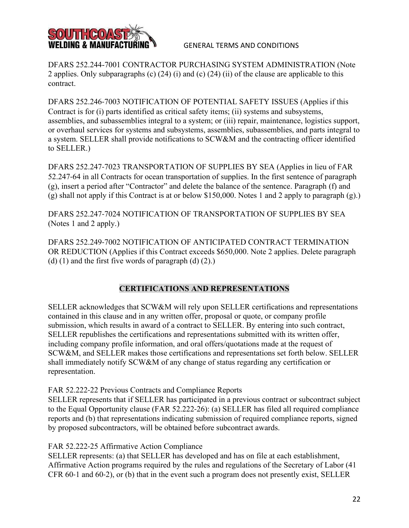

DFARS 252.244-7001 CONTRACTOR PURCHASING SYSTEM ADMINISTRATION (Note 2 applies. Only subparagraphs (c) (24) (i) and (c) (24) (ii) of the clause are applicable to this contract.

DFARS 252.246‐7003 NOTIFICATION OF POTENTIAL SAFETY ISSUES (Applies if this Contract is for (i) parts identified as critical safety items; (ii) systems and subsystems, assemblies, and subassemblies integral to a system; or (iii) repair, maintenance, logistics support, or overhaul services for systems and subsystems, assemblies, subassemblies, and parts integral to a system. SELLER shall provide notifications to SCW&M and the contracting officer identified to SELLER.)

DFARS 252.247‐7023 TRANSPORTATION OF SUPPLIES BY SEA (Applies in lieu of FAR 52.247‐64 in all Contracts for ocean transportation of supplies. In the first sentence of paragraph (g), insert a period after "Contractor" and delete the balance of the sentence. Paragraph (f) and (g) shall not apply if this Contract is at or below \$150,000. Notes 1 and 2 apply to paragraph (g).)

DFARS 252.247‐7024 NOTIFICATION OF TRANSPORTATION OF SUPPLIES BY SEA (Notes 1 and 2 apply.)

DFARS 252.249‐7002 NOTIFICATION OF ANTICIPATED CONTRACT TERMINATION OR REDUCTION (Applies if this Contract exceeds \$650,000. Note 2 applies. Delete paragraph (d)  $(1)$  and the first five words of paragraph  $(d)$   $(2)$ .)

## **CERTIFICATIONS AND REPRESENTATIONS**

SELLER acknowledges that SCW&M will rely upon SELLER certifications and representations contained in this clause and in any written offer, proposal or quote, or company profile submission, which results in award of a contract to SELLER. By entering into such contract, SELLER republishes the certifications and representations submitted with its written offer, including company profile information, and oral offers/quotations made at the request of SCW&M, and SELLER makes those certifications and representations set forth below. SELLER shall immediately notify SCW&M of any change of status regarding any certification or representation.

## FAR 52.222-22 Previous Contracts and Compliance Reports

SELLER represents that if SELLER has participated in a previous contract or subcontract subject to the Equal Opportunity clause (FAR 52.222-26): (a) SELLER has filed all required compliance reports and (b) that representations indicating submission of required compliance reports, signed by proposed subcontractors, will be obtained before subcontract awards.

FAR 52.222‐25 Affirmative Action Compliance

SELLER represents: (a) that SELLER has developed and has on file at each establishment, Affirmative Action programs required by the rules and regulations of the Secretary of Labor (41 CFR 60‐1 and 60‐2), or (b) that in the event such a program does not presently exist, SELLER